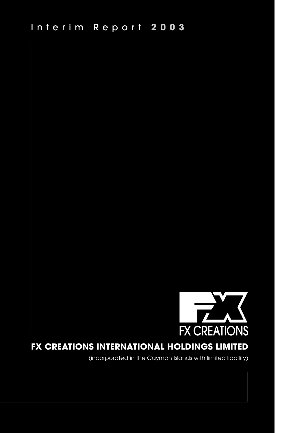

# **FX CREATIONS INTERNATIONAL HOLDINGS LIMITED**

(incorporated in the Cayman Islands with limited liability)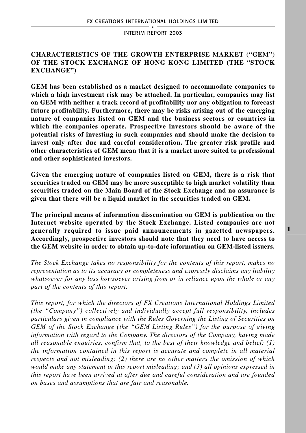## **CHARACTERISTICS OF THE GROWTH ENTERPRISE MARKET ("GEM") OF THE STOCK EXCHANGE OF HONG KONG LIMITED (THE "STOCK EXCHANGE")**

**GEM has been established as a market designed to accommodate companies to which a high investment risk may be attached. In particular, companies may list on GEM with neither a track record of profitability nor any obligation to forecast future profitability. Furthermore, there may be risks arising out of the emerging nature of companies listed on GEM and the business sectors or countries in which the companies operate. Prospective investors should be aware of the potential risks of investing in such companies and should make the decision to invest only after due and careful consideration. The greater risk profile and other characteristics of GEM mean that it is a market more suited to professional and other sophisticated investors.**

**Given the emerging nature of companies listed on GEM, there is a risk that securities traded on GEM may be more susceptible to high market volatility than securities traded on the Main Board of the Stock Exchange and no assurance is given that there will be a liquid market in the securities traded on GEM.**

**The principal means of information dissemination on GEM is publication on the Internet website operated by the Stock Exchange. Listed companies are not generally required to issue paid announcements in gazetted newspapers. Accordingly, prospective investors should note that they need to have access to the GEM website in order to obtain up-to-date information on GEM-listed issuers.**

*The Stock Exchange takes no responsibility for the contents of this report, makes no representation as to its accuracy or completeness and expressly disclaims any liability whatsoever for any loss howsoever arising from or in reliance upon the whole or any part of the contents of this report.*

*This report, for which the directors of FX Creations International Holdings Limited (the "Company") collectively and individually accept full responsibility, includes particulars given in compliance with the Rules Governing the Listing of Securities on GEM of the Stock Exchange (the "GEM Listing Rules") for the purpose of giving information with regard to the Company. The directors of the Company, having made all reasonable enquiries, confirm that, to the best of their knowledge and belief: (1) the information contained in this report is accurate and complete in all material respects and not misleading; (2) there are no other matters the omission of which would make any statement in this report misleading; and (3) all opinions expressed in this report have been arrived at after due and careful consideration and are founded on bases and assumptions that are fair and reasonable.*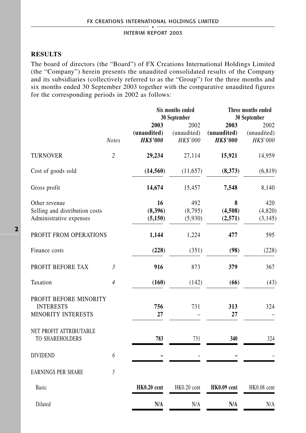## **RESULTS**

The board of directors (the "Board") of FX Creations International Holdings Limited (the "Company") herein presents the unaudited consolidated results of the Company and its subsidiaries (collectively referred to as the "Group") for the three months and six months ended 30 September 2003 together with the comparative unaudited figures for the corresponding periods in 2002 as follows:

|                                                                            |                |                                        | Six months ended<br>30 September | Three months ended<br>30 September     |                                 |  |
|----------------------------------------------------------------------------|----------------|----------------------------------------|----------------------------------|----------------------------------------|---------------------------------|--|
|                                                                            | <b>Notes</b>   | 2003<br>(unaudited)<br><b>HK\$'000</b> | 2002<br>(unaudited)<br>HK\$'000  | 2003<br>(unaudited)<br><b>HK\$'000</b> | 2002<br>(unaudited)<br>HK\$'000 |  |
| <b>TURNOVER</b>                                                            | $\overline{c}$ | 29,234                                 | 27,114                           | 15,921                                 | 14,959                          |  |
| Cost of goods sold                                                         |                | (14, 560)                              | (11,657)                         | (8,373)                                | (6, 819)                        |  |
| Gross profit                                                               |                | 14,674                                 | 15,457                           | 7,548                                  | 8,140                           |  |
| Other revenue<br>Selling and distribution costs<br>Administrative expenses |                | 16<br>(8,396)<br>(5, 150)              | 492<br>(8,795)<br>(5,930)        | 8<br>(4,508)<br>(2,571)                | 420<br>(4,820)<br>(3, 145)      |  |
| PROFIT FROM OPERATIONS                                                     |                | 1,144                                  | 1,224                            | 477                                    | 595                             |  |
| Finance costs                                                              |                | (228)                                  | (351)                            | (98)                                   | (228)                           |  |
| PROFIT BEFORE TAX                                                          | $\mathfrak{Z}$ | 916                                    | 873                              | 379                                    | 367                             |  |
| Taxation                                                                   | $\overline{4}$ | (160)                                  | (142)                            | (66)                                   | (43)                            |  |
| PROFIT BEFORE MINORITY<br><b>INTERESTS</b><br>MINORITY INTERESTS           |                | 756<br>27                              | 731                              | 313<br>27                              | 324                             |  |
| NET PROFIT ATTRIBUTABLE<br>TO SHAREHOLDERS                                 |                | 783                                    | 731                              | 340                                    | 324                             |  |
| <b>DIVIDEND</b>                                                            | 6              |                                        |                                  |                                        |                                 |  |
| <b>EARNINGS PER SHARE</b>                                                  | 5              |                                        |                                  |                                        |                                 |  |
| Basic                                                                      |                | HK0.20 cent                            | HK0.20 cent                      | HK0.09 cent                            | HK0.08 cent                     |  |
| Diluted                                                                    |                | N/A                                    | N/A                              | N/A                                    | N/A                             |  |
|                                                                            |                |                                        |                                  |                                        |                                 |  |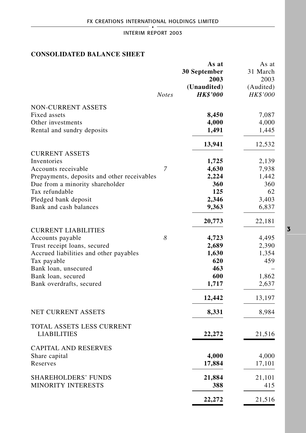## **CONSOLIDATED BALANCE SHEET**

|                                             |              | As at           | As at           |
|---------------------------------------------|--------------|-----------------|-----------------|
|                                             |              | 30 September    | 31 March        |
|                                             |              | 2003            | 2003            |
|                                             |              | (Unaudited)     | (Audited)       |
|                                             | <b>Notes</b> | <b>HK\$'000</b> | <i>HK\$'000</i> |
| <b>NON-CURRENT ASSETS</b>                   |              |                 |                 |
| Fixed assets                                |              | 8,450           | 7,087           |
| Other investments                           |              | 4,000           | 4,000           |
| Rental and sundry deposits                  |              | 1,491           | 1,445           |
|                                             |              | 13,941          | 12,532          |
| <b>CURRENT ASSETS</b>                       |              |                 |                 |
| Inventories                                 |              | 1,725           | 2,139           |
| Accounts receivable                         | 7            | 4,630           | 7,938           |
| Prepayments, deposits and other receivables |              | 2,224           | 1,442           |
| Due from a minority shareholder             |              | 360             | 360             |
| Tax refundable                              |              | 125             | 62              |
| Pledged bank deposit                        |              | 2,346           | 3,403           |
| Bank and cash balances                      |              | 9,363           | 6,837           |
|                                             |              | 20,773          | 22,181          |
| <b>CURRENT LIABILITIES</b>                  |              |                 |                 |
| Accounts payable                            | 8            | 4,723           | 4,495           |
| Trust receipt loans, secured                |              | 2,689           | 2,390           |
| Accrued liabilities and other payables      |              | 1,630           | 1,354           |
| Tax payable                                 |              | 620             | 459             |
| Bank loan, unsecured                        |              | 463             |                 |
| Bank loan, secured                          |              | 600             | 1,862           |
| Bank overdrafts, secured                    |              | 1,717           | 2,637           |
|                                             |              | 12,442          | 13,197          |
| NET CURRENT ASSETS                          |              | 8,331           | 8,984           |
| TOTAL ASSETS LESS CURRENT                   |              |                 |                 |
| <b>LIABILITIES</b>                          |              | 22,272          | 21,516          |
| <b>CAPITAL AND RESERVES</b>                 |              |                 |                 |
| Share capital                               |              | 4,000           | 4,000           |
| Reserves                                    |              | 17,884          | 17,101          |
| SHAREHOLDERS' FUNDS                         |              | 21,884          | 21,101          |
| <b>MINORITY INTERESTS</b>                   |              | 388             | 415             |
|                                             |              | 22,272          | 21,516          |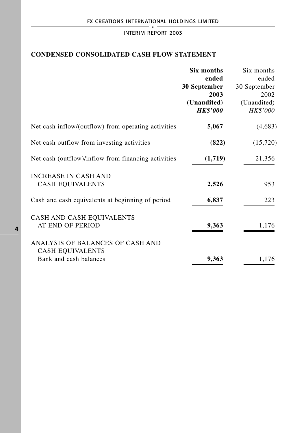## **CONDENSED CONSOLIDATED CASH FLOW STATEMENT**

|                                                     | Six months            | Six months            |
|-----------------------------------------------------|-----------------------|-----------------------|
|                                                     | ended<br>30 September | ended<br>30 September |
|                                                     | 2003                  | 2002                  |
|                                                     | (Unaudited)           | (Unaudited)           |
|                                                     | <b>HK\$'000</b>       | <b>HK\$'000</b>       |
| Net cash inflow/(outflow) from operating activities | 5,067                 | (4,683)               |
| Net cash outflow from investing activities          | (822)                 | (15, 720)             |
| Net cash (outflow)/inflow from financing activities | (1,719)               | 21,356                |
| <b>INCREASE IN CASH AND</b>                         |                       |                       |
| <b>CASH EQUIVALENTS</b>                             | 2,526                 | 953                   |
| Cash and cash equivalents at beginning of period    | 6,837                 | 223                   |
| CASH AND CASH EQUIVALENTS                           |                       |                       |
| AT END OF PERIOD                                    | 9,363                 | 1,176                 |
| ANALYSIS OF BALANCES OF CASH AND                    |                       |                       |
| <b>CASH EQUIVALENTS</b>                             |                       |                       |
| Bank and cash balances                              | 9,363                 | 1,176                 |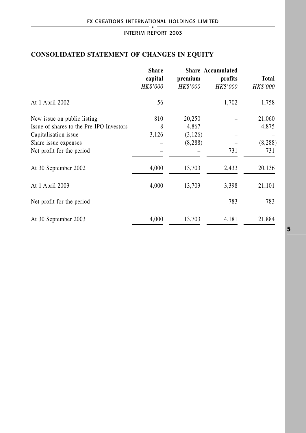## **CONSOLIDATED STATEMENT OF CHANGES IN EQUITY**

|                                          | <b>Share</b><br>capital<br>HK\$'000 | premium<br>HK\$'000 | <b>Share Accumulated</b><br>profits<br><b>HK\$'000</b> | Total<br>HK\$'000 |
|------------------------------------------|-------------------------------------|---------------------|--------------------------------------------------------|-------------------|
| At 1 April 2002                          | 56                                  |                     | 1,702                                                  | 1,758             |
| New issue on public listing              | 810                                 | 20,250              |                                                        | 21,060            |
| Issue of shares to the Pre-IPO Investors | 8                                   | 4,867               |                                                        | 4,875             |
| Capitalisation issue                     | 3,126                               | (3,126)             |                                                        |                   |
| Share issue expenses                     |                                     | (8,288)             |                                                        | (8, 288)          |
| Net profit for the period                |                                     |                     | 731                                                    | 731               |
| At 30 September 2002                     | 4,000                               | 13,703              | 2,433                                                  | 20,136            |
| At 1 April 2003                          | 4,000                               | 13,703              | 3,398                                                  | 21,101            |
| Net profit for the period                |                                     |                     | 783                                                    | 783               |
| At 30 September 2003                     | 4,000                               | 13,703              | 4,181                                                  | 21,884            |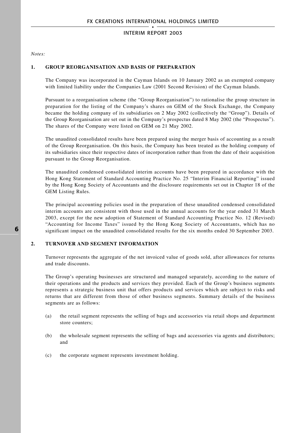*Notes:*

### **1. GROUP REORGANISATION AND BASIS OF PREPARATION**

The Company was incorporated in the Cayman Islands on 10 January 2002 as an exempted company with limited liability under the Companies Law (2001 Second Revision) of the Cayman Islands.

Pursuant to a reorganisation scheme (the "Group Reorganisation") to rationalise the group structure in preparation for the listing of the Company's shares on GEM of the Stock Exchange, the Company became the holding company of its subsidiaries on 2 May 2002 (collectively the "Group"). Details of the Group Reorganisation are set out in the Company's prospectus dated 8 May 2002 (the "Prospectus"). The shares of the Company were listed on GEM on 21 May 2002.

The unaudited consolidated results have been prepared using the merger basis of accounting as a result of the Group Reorganisation. On this basis, the Company has been treated as the holding company of its subsidiaries since their respective dates of incorporation rather than from the date of their acquisition pursuant to the Group Reorganisation.

The unaudited condensed consolidated interim accounts have been prepared in accordance with the Hong Kong Statement of Standard Accounting Practice No. 25 "Interim Financial Reporting" issued by the Hong Kong Society of Accountants and the disclosure requirements set out in Chapter 18 of the GEM Listing Rules.

The principal accounting policies used in the preparation of these unaudited condensed consolidated interim accounts are consistent with those used in the annual accounts for the year ended 31 March 2003, except for the new adoption of Statement of Standard Accounting Practice No. 12 (Revised) "Accounting for Income Taxes" issued by the Hong Kong Society of Accountants, which has no significant impact on the unaudited consolidated results for the six months ended 30 September 2003.

### **2. TURNOVER AND SEGMENT INFORMATION**

Turnover represents the aggregate of the net invoiced value of goods sold, after allowances for returns and trade discounts.

The Group's operating businesses are structured and managed separately, according to the nature of their operations and the products and services they provided. Each of the Group's business segments represents a strategic business unit that offers products and services which are subject to risks and returns that are different from those of other business segments. Summary details of the business segments are as follows:

- (a) the retail segment represents the selling of bags and accessories via retail shops and department store counters;
- (b) the wholesale segment represents the selling of bags and accessories via agents and distributors; and
- (c) the corporate segment represents investment holding.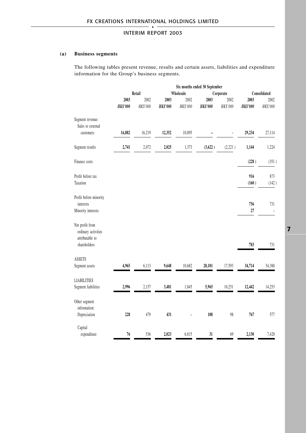### **(a) Business segments**

The following tables present revenue, results and certain assets, liabilities and expenditure information for the Group's business segments.

|                                                                           |                         |                  |                         | Six months ended 30 September |                         |                  |                         |                  |
|---------------------------------------------------------------------------|-------------------------|------------------|-------------------------|-------------------------------|-------------------------|------------------|-------------------------|------------------|
|                                                                           |                         | Retail           |                         | Wholesale<br>Corporate        |                         |                  | Consolidated            |                  |
|                                                                           | 2003<br><b>HK\$'000</b> | 2002<br>HK\$'000 | 2003<br><b>HK\$'000</b> | 2002<br>HK\$'000              | 2003<br><b>HK\$'000</b> | 2002<br>HK\$'000 | 2003<br><b>HK\$'000</b> | 2002<br>HK\$'000 |
| Segment revenue:<br>Sales to external<br>customers                        | 16,882                  | 16,219           | 12,352                  | 10,895                        |                         |                  | 29,234                  | 27,114           |
| Segment results                                                           | 2,741                   | 2,072            | 2,025                   | 1,373                         | (3,622)                 | (2,221)          | 1,144                   | 1,224            |
| Finance costs                                                             |                         |                  |                         |                               |                         |                  | (228)                   | (351)            |
| Profit before tax<br>Taxation                                             |                         |                  |                         |                               |                         |                  | 916<br>(160)            | 873<br>(142)     |
| Profit before minority<br>interests<br>Minority interests                 |                         |                  |                         |                               |                         |                  | 756<br>27               | 731              |
| Net profit from<br>ordinary activities<br>attributable to<br>shareholders |                         |                  |                         |                               |                         |                  | 783                     | 731              |
| <b>ASSETS</b><br>Segment assets                                           | 4,965                   | 6,113            | 9,648                   | 10,682                        | 20,101                  | 17,593           | 34,714                  | 34,388           |
| <b>LIABILITIES</b><br>Segment liabilities                                 | 2,996                   | 2,157            | 3,481                   | 1,845                         | 5,965                   | 10,251           | 12,442                  | 14,253           |
| Other segment<br>information:<br>Depreciation                             | 228                     | 479              | 431                     |                               | 108                     | 98               | 767                     | 577              |
| Capital<br>expenditure                                                    | 76                      | 536              | 2,023                   | 6,815                         | 31                      | 69               | 2,130                   | 7,420            |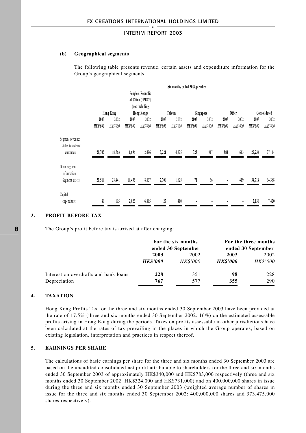### **(b) Geographical segments**

The following table presents revenue, certain assets and expenditure information for the Group's geographical segments.

|                                                    |                 |                  |                |                                                                       |                 |          | Six months ended 30 September |           |                 |                 |                 |              |
|----------------------------------------------------|-----------------|------------------|----------------|-----------------------------------------------------------------------|-----------------|----------|-------------------------------|-----------|-----------------|-----------------|-----------------|--------------|
|                                                    |                 | <b>Hong Kong</b> |                | People's Republic<br>of China ("PRC")<br>(not including<br>Hong Kong) |                 | Taiwan   |                               | Singapore |                 | <b>Other</b>    |                 | Consolidated |
|                                                    | 2003            | 2002             | 2003           | 2002                                                                  | 2003            | 2002     | 2003                          | 2002      | 2003            | 2002            | 2003            | 2002         |
|                                                    | <b>HK\$'000</b> | HK\$'000         | <b>HKS'000</b> | HK\$'000                                                              | <b>HK\$'000</b> | HK\$'000 | <b>HK\$'000</b>               | HK\$'000  | <b>HK\$'000</b> | <b>HK\$'000</b> | <b>HK\$'000</b> | HK\$'000     |
| Segment revenue:<br>Sales to external<br>customers | 20,705          | 18,763           | 1,696          | 2,496                                                                 | 5,221           | 4,325    | 728                           | 917       | 884             | 613             | 29,234          | 27,114       |
| Other segment<br>information:<br>Segment assets    | 21,510          | 23,441           | 10,433         | 8,837                                                                 | 2,700           | 1,625    | 71                            | 66        |                 | 419             | 34,714          | 34,388       |
| Capital<br>expenditure                             | 80              | 195              | 2,023          | 6,815                                                                 | 27              | 410      |                               |           |                 |                 | 2,130           | 7,420        |

### **3. PROFIT BEFORE TAX**

The Group's profit before tax is arrived at after charging:

|                                       |                 | For the six months<br>ended 30 September | For the three months<br>ended 30 September |                 |  |
|---------------------------------------|-----------------|------------------------------------------|--------------------------------------------|-----------------|--|
|                                       | 2003            | 2002                                     | 2003                                       | 2002            |  |
|                                       | <b>HK\$'000</b> | <b>HK\$'000</b>                          | <i><b>HK\$'000</b></i>                     | <b>HK\$'000</b> |  |
| Interest on overdrafts and bank loans | 228             | 351                                      | 98                                         | 228             |  |
| Depreciation                          | 767             | 577                                      | 355                                        | 290             |  |

### **4. TAXATION**

Hong Kong Profits Tax for the three and six months ended 30 September 2003 have been provided at the rate of 17.5% (three and six months ended 30 September 2002: 16%) on the estimated assessable profits arising in Hong Kong during the periods. Taxes on profits assessable in other jurisdictions have been calculated at the rates of tax prevailing in the places in which the Group operates, based on existing legislation, interpretation and practices in respect thereof.

### **5. EARNINGS PER SHARE**

The calculations of basic earnings per share for the three and six months ended 30 September 2003 are based on the unaudited consolidated net profit attributable to shareholders for the three and six months ended 30 September 2003 of approximately HK\$340,000 and HK\$783,000 respectively (three and six months ended 30 September 2002: HK\$324,000 and HK\$731,000) and on 400,000,000 shares in issue during the three and six months ended 30 September 2003 (weighted average number of shares in issue for the three and six months ended 30 September 2002: 400,000,000 shares and 373,475,000 shares respectively).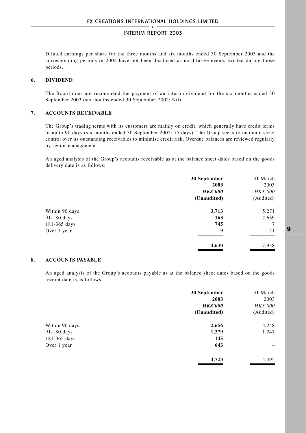Diluted earnings per share for the three months and six months ended 30 September 2003 and the corresponding periods in 2002 have not been disclosed as no dilutive events existed during those periods.

### **6. DIVIDEND**

The Board does not recommend the payment of an interim dividend for the six months ended 30 September 2003 (six months ended 30 September 2002: Nil).

### **7. ACCOUNTS RECEIVABLE**

The Group's trading terms with its customers are mainly on credit, which generally have credit terms of up to 90 days (six months ended 30 September 2002: 75 days). The Group seeks to maintain strict control over its outstanding receivables to minimise credit risk. Overdue balances are reviewed regularly by senior management.

An aged analysis of the Group's accounts receivable as at the balance sheet dates based on the goods delivery date is as follows:

|                | 30 September    | 31 March  |
|----------------|-----------------|-----------|
|                | 2003            | 2003      |
|                | <b>HK\$'000</b> | HK\$'000  |
|                | (Unaudited)     | (Audited) |
| Within 90 days | 3,713           | 5,271     |
| 91-180 days    | 163             | 2,639     |
| 181-365 days   | 745             | $\tau$    |
| Over 1 year    | 9               | 21        |
|                | 4,630           | 7,938     |

### **8. ACCOUNTS PAYABLE**

An aged analysis of the Group's accounts payable as at the balance sheet dates based on the goods receipt date is as follows:

|                | 30 September    | 31 March                 |
|----------------|-----------------|--------------------------|
|                | 2003            | 2003                     |
|                | <b>HK\$'000</b> | <b>HK\$'000</b>          |
|                | (Unaudited)     | (Audited)                |
| Within 90 days | 2,656           | 3,248                    |
| 91-180 days    | 1,279           | 1,247                    |
| 181-365 days   | 145             | $\overline{\phantom{0}}$ |
| Over 1 year    | 643             | -                        |
|                | 4,723           | 4,495                    |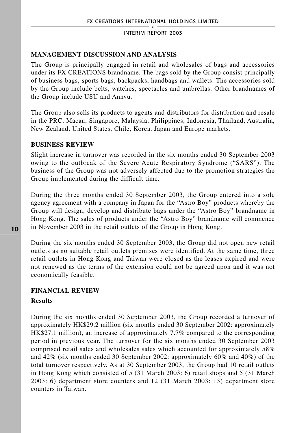## **MANAGEMENT DISCUSSION AND ANALYSIS**

The Group is principally engaged in retail and wholesales of bags and accessories under its FX CREATIONS brandname. The bags sold by the Group consist principally of business bags, sports bags, backpacks, handbags and wallets. The accessories sold by the Group include belts, watches, spectacles and umbrellas. Other brandnames of the Group include USU and Annvu.

The Group also sells its products to agents and distributors for distribution and resale in the PRC, Macau, Singapore, Malaysia, Philippines, Indonesia, Thailand, Australia, New Zealand, United States, Chile, Korea, Japan and Europe markets.

### **BUSINESS REVIEW**

Slight increase in turnover was recorded in the six months ended 30 September 2003 owing to the outbreak of the Severe Acute Respiratory Syndrome ("SARS"). The business of the Group was not adversely affected due to the promotion strategies the Group implemented during the difficult time.

During the three months ended 30 September 2003, the Group entered into a sole agency agreement with a company in Japan for the "Astro Boy" products whereby the Group will design, develop and distribute bags under the "Astro Boy" brandname in Hong Kong. The sales of products under the "Astro Boy" brandname will commence in November 2003 in the retail outlets of the Group in Hong Kong.

During the six months ended 30 September 2003, the Group did not open new retail outlets as no suitable retail outlets premises were identified. At the same time, three retail outlets in Hong Kong and Taiwan were closed as the leases expired and were not renewed as the terms of the extension could not be agreed upon and it was not economically feasible.

## **FINANCIAL REVIEW**

### **Results**

During the six months ended 30 September 2003, the Group recorded a turnover of approximately HK\$29.2 million (six months ended 30 September 2002: approximately HK\$27.1 million), an increase of approximately 7.7% compared to the corresponding period in previous year. The turnover for the six months ended 30 September 2003 comprised retail sales and wholesales sales which accounted for approximately 58% and 42% (six months ended 30 September 2002: approximately 60% and 40%) of the total turnover respectively. As at 30 September 2003, the Group had 10 retail outlets in Hong Kong which consisted of 5 (31 March 2003: 6) retail shops and 5 (31 March 2003: 6) department store counters and 12 (31 March 2003: 13) department store counters in Taiwan.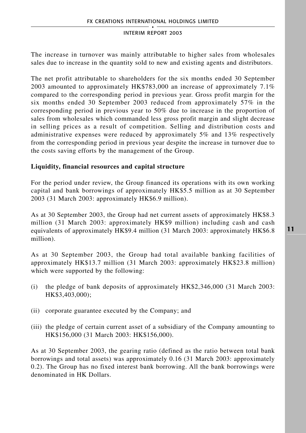The increase in turnover was mainly attributable to higher sales from wholesales sales due to increase in the quantity sold to new and existing agents and distributors.

The net profit attributable to shareholders for the six months ended 30 September 2003 amounted to approximately HK\$783,000 an increase of approximately 7.1% compared to the corresponding period in previous year. Gross profit margin for the six months ended 30 September 2003 reduced from approximately 57% in the corresponding period in previous year to 50% due to increase in the proportion of sales from wholesales which commanded less gross profit margin and slight decrease in selling prices as a result of competition. Selling and distribution costs and administrative expenses were reduced by approximately 5% and 13% respectively from the corresponding period in previous year despite the increase in turnover due to the costs saving efforts by the management of the Group.

## **Liquidity, financial resources and capital structure**

For the period under review, the Group financed its operations with its own working capital and bank borrowings of approximately HK\$5.5 million as at 30 September 2003 (31 March 2003: approximately HK\$6.9 million).

As at 30 September 2003, the Group had net current assets of approximately HK\$8.3 million (31 March 2003: approximately HK\$9 million) including cash and cash equivalents of approximately HK\$9.4 million (31 March 2003: approximately HK\$6.8 million).

As at 30 September 2003, the Group had total available banking facilities of approximately HK\$13.7 million (31 March 2003: approximately HK\$23.8 million) which were supported by the following:

- (i) the pledge of bank deposits of approximately HK\$2,346,000 (31 March 2003: HK\$3,403,000);
- (ii) corporate guarantee executed by the Company; and
- (iii) the pledge of certain current asset of a subsidiary of the Company amounting to HK\$156,000 (31 March 2003: HK\$156,000).

As at 30 September 2003, the gearing ratio (defined as the ratio between total bank borrowings and total assets) was approximately 0.16 (31 March 2003: approximately 0.2). The Group has no fixed interest bank borrowing. All the bank borrowings were denominated in HK Dollars.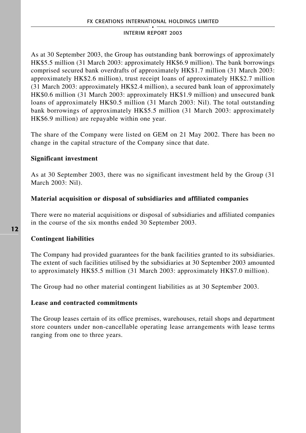As at 30 September 2003, the Group has outstanding bank borrowings of approximately HK\$5.5 million (31 March 2003: approximately HK\$6.9 million). The bank borrowings comprised secured bank overdrafts of approximately HK\$1.7 million (31 March 2003: approximately HK\$2.6 million), trust receipt loans of approximately HK\$2.7 million (31 March 2003: approximately HK\$2.4 million), a secured bank loan of approximately HK\$0.6 million (31 March 2003: approximately HK\$1.9 million) and unsecured bank loans of approximately HK\$0.5 million (31 March 2003: Nil). The total outstanding bank borrowings of approximately HK\$5.5 million (31 March 2003: approximately HK\$6.9 million) are repayable within one year.

The share of the Company were listed on GEM on 21 May 2002. There has been no change in the capital structure of the Company since that date.

## **Significant investment**

As at 30 September 2003, there was no significant investment held by the Group (31 March 2003: Nil).

## **Material acquisition or disposal of subsidiaries and affiliated companies**

There were no material acquisitions or disposal of subsidiaries and affiliated companies in the course of the six months ended 30 September 2003.

## **Contingent liabilities**

The Company had provided guarantees for the bank facilities granted to its subsidiaries. The extent of such facilities utilised by the subsidiaries at 30 September 2003 amounted to approximately HK\$5.5 million (31 March 2003: approximately HK\$7.0 million).

The Group had no other material contingent liabilities as at 30 September 2003.

## **Lease and contracted commitments**

The Group leases certain of its office premises, warehouses, retail shops and department store counters under non-cancellable operating lease arrangements with lease terms ranging from one to three years.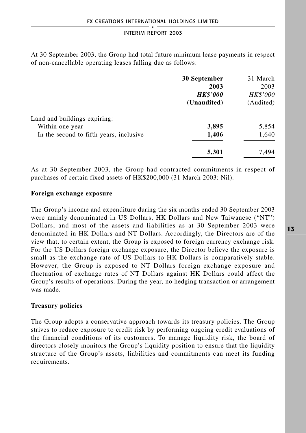At 30 September 2003, the Group had total future minimum lease payments in respect of non-cancellable operating leases falling due as follows:

| 30 September    | 31 March  |
|-----------------|-----------|
| 2003            | 2003      |
| <b>HK\$'000</b> | HK\$'000  |
| (Unaudited)     | (Audited) |
|                 |           |
| 3,895           | 5,854     |
| 1,406           | 1,640     |
| 5,301           | 7.494     |
|                 |           |

As at 30 September 2003, the Group had contracted commitments in respect of purchases of certain fixed assets of HK\$200,000 (31 March 2003: Nil).

### **Foreign exchange exposure**

The Group's income and expenditure during the six months ended 30 September 2003 were mainly denominated in US Dollars, HK Dollars and New Taiwanese ("NT") Dollars, and most of the assets and liabilities as at 30 September 2003 were denominated in HK Dollars and NT Dollars. Accordingly, the Directors are of the view that, to certain extent, the Group is exposed to foreign currency exchange risk. For the US Dollars foreign exchange exposure, the Director believe the exposure is small as the exchange rate of US Dollars to HK Dollars is comparatively stable. However, the Group is exposed to NT Dollars foreign exchange exposure and fluctuation of exchange rates of NT Dollars against HK Dollars could affect the Group's results of operations. During the year, no hedging transaction or arrangement was made.

### **Treasury policies**

The Group adopts a conservative approach towards its treasury policies. The Group strives to reduce exposure to credit risk by performing ongoing credit evaluations of the financial conditions of its customers. To manage liquidity risk, the board of directors closely monitors the Group's liquidity position to ensure that the liquidity structure of the Group's assets, liabilities and commitments can meet its funding requirements.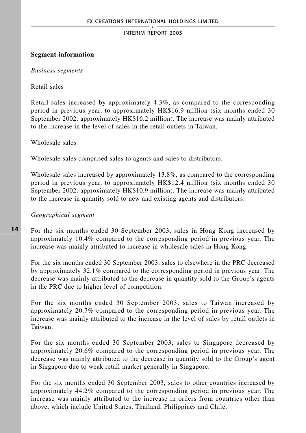## **Segment information**

### *Business segments*

### Retail sales

Retail sales increased by approximately 4.3%, as compared to the corresponding period in previous year, to approximately HK\$16.9 million (six months ended 30 September 2002: approximately HK\$16.2 million). The increase was mainly attributed to the increase in the level of sales in the retail outlets in Taiwan.

Wholesale sales

Wholesale sales comprised sales to agents and sales to distributors.

Wholesale sales increased by approximately 13.8%, as compared to the corresponding period in previous year, to approximately HK\$12.4 million (six months ended 30 September 2002: approximately HK\$10.9 million). The increase was mainly attributed to the increase in quantity sold to new and existing agents and distributors.

## *Geographical segment*

For the six months ended 30 September 2003, sales in Hong Kong increased by approximately 10.4% compared to the corresponding period in previous year. The increase was mainly attributed to increase in wholesale sales in Hong Kong.

For the six months ended 30 September 2003, sales to elsewhere in the PRC decreased by approximately 32.1% compared to the corresponding period in previous year. The decrease was mainly attributed to the decrease in quantity sold to the Group's agents in the PRC due to higher level of competition.

For the six months ended 30 September 2003, sales to Taiwan increased by approximately 20.7% compared to the corresponding period in previous year. The increase was mainly attributed to the increase in the level of sales by retail outlets in Taiwan.

For the six months ended 30 September 2003, sales to Singapore decreased by approximately 20.6% compared to the corresponding period in previous year. The decrease was mainly attributed to the decrease in quantity sold to the Group's agent in Singapore due to weak retail market generally in Singapore.

For the six months ended 30 September 2003, sales to other countries increased by approximately 44.2% compared to the corresponding period in previous year. The increase was mainly attributed to the increase in orders from countries other than above, which include United States, Thailand, Philippines and Chile.

**14**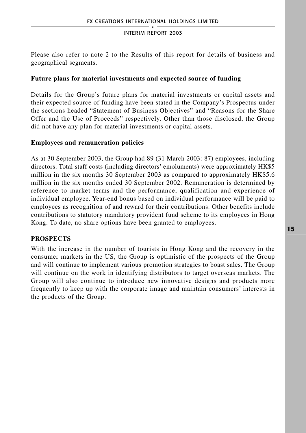Please also refer to note 2 to the Results of this report for details of business and geographical segments.

## **Future plans for material investments and expected source of funding**

Details for the Group's future plans for material investments or capital assets and their expected source of funding have been stated in the Company's Prospectus under the sections headed "Statement of Business Objectives" and "Reasons for the Share Offer and the Use of Proceeds" respectively. Other than those disclosed, the Group did not have any plan for material investments or capital assets.

## **Employees and remuneration policies**

As at 30 September 2003, the Group had 89 (31 March 2003: 87) employees, including directors. Total staff costs (including directors' emoluments) were approximately HK\$5 million in the six months 30 September 2003 as compared to approximately HK\$5.6 million in the six months ended 30 September 2002. Remuneration is determined by reference to market terms and the performance, qualification and experience of individual employee. Year-end bonus based on individual performance will be paid to employees as recognition of and reward for their contributions. Other benefits include contributions to statutory mandatory provident fund scheme to its employees in Hong Kong. To date, no share options have been granted to employees.

## **PROSPECTS**

With the increase in the number of tourists in Hong Kong and the recovery in the consumer markets in the US, the Group is optimistic of the prospects of the Group and will continue to implement various promotion strategies to boast sales. The Group will continue on the work in identifying distributors to target overseas markets. The Group will also continue to introduce new innovative designs and products more frequently to keep up with the corporate image and maintain consumers' interests in the products of the Group.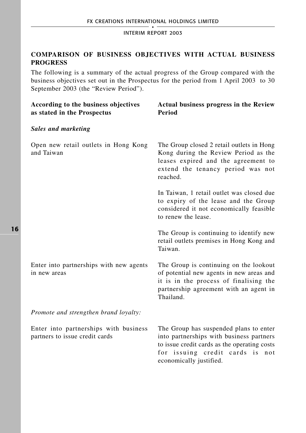## **COMPARISON OF BUSINESS OBJECTIVES WITH ACTUAL BUSINESS PROGRESS**

The following is a summary of the actual progress of the Group compared with the business objectives set out in the Prospectus for the period from 1 April 2003 to 30 September 2003 (the "Review Period").

| According to the business objectives<br>as stated in the Prospectus     | Actual business progress in the Review<br>Period                                                                                                                                                    |
|-------------------------------------------------------------------------|-----------------------------------------------------------------------------------------------------------------------------------------------------------------------------------------------------|
| <b>Sales and marketing</b>                                              |                                                                                                                                                                                                     |
| Open new retail outlets in Hong Kong<br>and Taiwan                      | The Group closed 2 retail outlets in Hong<br>Kong during the Review Period as the<br>leases expired and the agreement to<br>extend the tenancy period was not<br>reached.                           |
|                                                                         | In Taiwan, 1 retail outlet was closed due<br>to expiry of the lease and the Group<br>considered it not economically feasible<br>to renew the lease.                                                 |
|                                                                         | The Group is continuing to identify new<br>retail outlets premises in Hong Kong and<br>Taiwan.                                                                                                      |
| Enter into partnerships with new agents<br>in new areas                 | The Group is continuing on the lookout<br>of potential new agents in new areas and<br>it is in the process of finalising the<br>partnership agreement with an agent in<br>Thailand.                 |
| Promote and strengthen brand loyalty:                                   |                                                                                                                                                                                                     |
| Enter into partnerships with business<br>partners to issue credit cards | The Group has suspended plans to enter<br>into partnerships with business partners<br>to issue credit cards as the operating costs<br>for issuing credit cards is<br>not<br>economically justified. |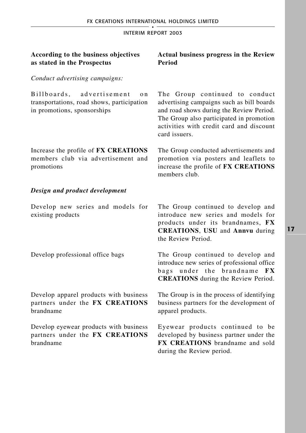| According to the business objectives<br>as stated in the Prospectus                                              | <b>Actual business progress in the Review</b><br>Period                                                                                                                                                                          |
|------------------------------------------------------------------------------------------------------------------|----------------------------------------------------------------------------------------------------------------------------------------------------------------------------------------------------------------------------------|
| Conduct advertising campaigns:                                                                                   |                                                                                                                                                                                                                                  |
| advertisement<br>Billboards,<br>o n<br>transportations, road shows, participation<br>in promotions, sponsorships | The Group continued to conduct<br>advertising campaigns such as bill boards<br>and road shows during the Review Period.<br>The Group also participated in promotion<br>activities with credit card and discount<br>card issuers. |
| Increase the profile of FX CREATIONS<br>members club via advertisement and<br>promotions                         | The Group conducted advertisements and<br>promotion via posters and leaflets to<br>increase the profile of FX CREATIONS<br>members club.                                                                                         |
| Design and product development                                                                                   |                                                                                                                                                                                                                                  |
| Develop new series and models for<br>existing products                                                           | The Group continued to develop and<br>introduce new series and models for<br>products under its brandnames, FX<br><b>CREATIONS, USU and Annvu during</b><br>the Review Period.                                                   |
| Develop professional office bags                                                                                 | The Group continued to develop and<br>introduce new series of professional office<br>under the brandname<br>$b$ ags<br><b>FX</b><br><b>CREATIONS</b> during the Review Period.                                                   |
| Develop apparel products with business<br>partners under the FX CREATIONS<br>brandname                           | The Group is in the process of identifying<br>business partners for the development of<br>apparel products.                                                                                                                      |
| Develop eyewear products with business<br>partners under the FX CREATIONS<br>brandname                           | Eyewear products continued to be<br>developed by business partner under the<br><b>FX CREATIONS</b> brandname and sold<br>during the Review period.                                                                               |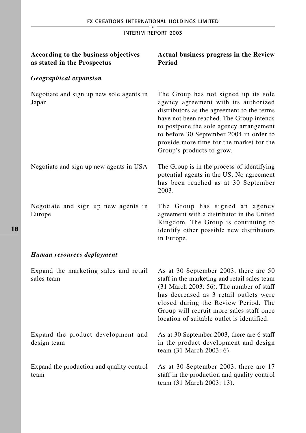| According to the business objectives<br>as stated in the Prospectus | Actual business progress in the Review<br>Period                                                                                                                                                                                                                                                                                      |
|---------------------------------------------------------------------|---------------------------------------------------------------------------------------------------------------------------------------------------------------------------------------------------------------------------------------------------------------------------------------------------------------------------------------|
| <b>Geographical expansion</b>                                       |                                                                                                                                                                                                                                                                                                                                       |
| Negotiate and sign up new sole agents in<br>Japan                   | The Group has not signed up its sole<br>agency agreement with its authorized<br>distributors as the agreement to the terms<br>have not been reached. The Group intends<br>to postpone the sole agency arrangement<br>to before 30 September 2004 in order to<br>provide more time for the market for the<br>Group's products to grow. |
| Negotiate and sign up new agents in USA                             | The Group is in the process of identifying<br>potential agents in the US. No agreement<br>has been reached as at 30 September<br>2003.                                                                                                                                                                                                |
| Negotiate and sign up new agents in<br>Europe                       | The Group has signed an agency<br>agreement with a distributor in the United<br>Kingdom. The Group is continuing to<br>identify other possible new distributors<br>in Europe.                                                                                                                                                         |
| Human resources deployment                                          |                                                                                                                                                                                                                                                                                                                                       |
| Expand the marketing sales and retail<br>sales team                 | As at 30 September 2003, there are 50<br>staff in the marketing and retail sales team<br>$(31$ March 2003: 56). The number of staff<br>has decreased as 3 retail outlets were<br>closed during the Review Period. The<br>Group will recruit more sales staff once<br>location of suitable outlet is identified.                       |
| Expand the product development and<br>design team                   | As at 30 September 2003, there are 6 staff<br>in the product development and design<br>team (31 March 2003: 6).                                                                                                                                                                                                                       |
| Expand the production and quality control<br>team                   | As at 30 September 2003, there are 17<br>staff in the production and quality control<br>team (31 March 2003: 13).                                                                                                                                                                                                                     |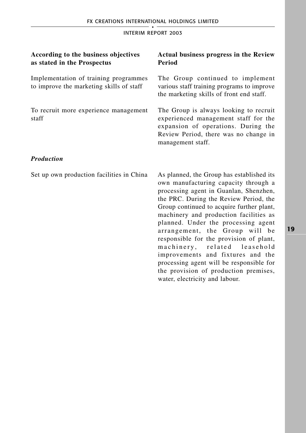| According to the business objectives<br>as stated in the Prospectus               | <b>Actual business progress in the Review</b><br>Period                                                                                                                                                                                                                                                                                                                                                                                                                                                                                    |
|-----------------------------------------------------------------------------------|--------------------------------------------------------------------------------------------------------------------------------------------------------------------------------------------------------------------------------------------------------------------------------------------------------------------------------------------------------------------------------------------------------------------------------------------------------------------------------------------------------------------------------------------|
| Implementation of training programmes<br>to improve the marketing skills of staff | The Group continued to implement<br>various staff training programs to improve<br>the marketing skills of front end staff.                                                                                                                                                                                                                                                                                                                                                                                                                 |
| To recruit more experience management<br>staff                                    | The Group is always looking to recruit<br>experienced management staff for the<br>expansion of operations. During the<br>Review Period, there was no change in<br>management staff.                                                                                                                                                                                                                                                                                                                                                        |
| <b>Production</b>                                                                 |                                                                                                                                                                                                                                                                                                                                                                                                                                                                                                                                            |
| Set up own production facilities in China                                         | As planned, the Group has established its<br>own manufacturing capacity through a<br>processing agent in Guanlan, Shenzhen,<br>the PRC. During the Review Period, the<br>Group continued to acquire further plant,<br>machinery and production facilities as<br>planned. Under the processing agent<br>arrangement, the Group will be<br>responsible for the provision of plant,<br>machinery, related leasehold<br>improvements and fixtures and the<br>processing agent will be responsible for<br>the provision of production premises, |

water, electricity and labour.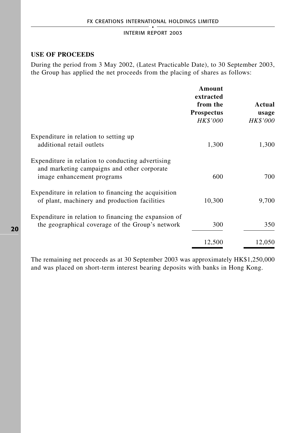## **USE OF PROCEEDS**

During the period from 3 May 2002, (Latest Practicable Date), to 30 September 2003, the Group has applied the net proceeds from the placing of shares as follows:

|                                                                                                                                | Amount<br>extracted<br>from the<br><b>Prospectus</b><br>HK\$'000 | Actual<br>usage<br><i>HK\$'000</i> |
|--------------------------------------------------------------------------------------------------------------------------------|------------------------------------------------------------------|------------------------------------|
| Expenditure in relation to setting up<br>additional retail outlets                                                             | 1,300                                                            | 1,300                              |
| Expenditure in relation to conducting advertising<br>and marketing campaigns and other corporate<br>image enhancement programs | 600                                                              | 700                                |
| Expenditure in relation to financing the acquisition<br>of plant, machinery and production facilities                          | 10,300                                                           | 9.700                              |
| Expenditure in relation to financing the expansion of<br>the geographical coverage of the Group's network                      | 300                                                              | 350                                |
|                                                                                                                                | 12,500                                                           | 12,050                             |

The remaining net proceeds as at 30 September 2003 was approximately HK\$1,250,000 and was placed on short-term interest bearing deposits with banks in Hong Kong.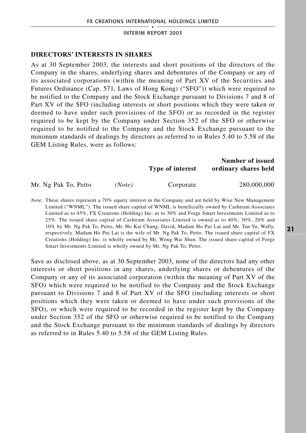### **DIRECTORS' INTERESTS IN SHARES**

As at 30 September 2003, the interests and short positions of the directors of the Company in the shares, underlying shares and debentures of the Company or any of its associated corporations (within the meaning of Part XV of the Securities and Futures Ordinance (Cap. 571, Laws of Hong Kong) ("SFO")) which were required to be notified to the Company and the Stock Exchange pursuant to Divisions 7 and 8 of Part XV of the SFO (including interests or short positions which they were taken or deemed to have under such provisions of the SFO) or as recorded in the register required to be kept by the Company under Section 352 of the SFO or otherwise required to be notified to the Company and the Stock Exchange pursuant to the minimum standards of dealings by directors as referred to in Rules 5.40 to 5.58 of the GEM Listing Rules, were as follows:

> **Number of issued Type of interest ordinary shares held**

Mr. Ng Pak To, Petto *(Note)* Corporate 280,000,000

*Note:* These shares represent a 70% equity interest in the Company and are held by Wise New Management Limited ("WNML"). The issued share capital of WNML is beneficially owned by Cashtram Associates Limited as to 45%, FX Creations (Holding) Inc. as to 30% and Forge Smart Investments Limited as to 25%. The issued share capital of Cashtram Associates Limited is owned as to 40%, 30%, 20% and 10% by Mr. Ng Pak To, Petto, Mr. Ho Kai Chung, David, Madam Ho Pui Lai and Mr. Tan Yu, Wally, respectively. Madam Ho Pui Lai is the wife of Mr. Ng Pak To, Petto. The issued share capital of FX Creations (Holding) Inc. is wholly owned by Mr. Wong Wai Shan. The issued share capital of Forge Smart Investments Limited is wholly owned by Mr. Ng Pak To, Petto.

Save as disclosed above, as at 30 September 2003, none of the directors had any other interests or short positions in any shares, underlying shares or debentures of the Company or any of its associated corporation (within the meaning of Part XV of the SFO) which were required to be notified to the Company and the Stock Exchange pursuant to Divisions 7 and 8 of Part XV of the SFO (including interests or short positions which they were taken or deemed to have under such provisions of the SFO), or which were required to be recorded in the register kept by the Company under Section 352 of the SFO or otherwise required to be notified to the Company and the Stock Exchange pursuant to the minimum standards of dealings by directors as referred to in Rules 5.40 to 5.58 of the GEM Listing Rules.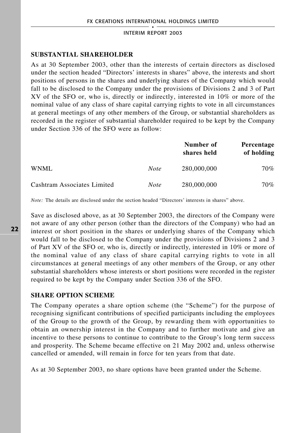### **SUBSTANTIAL SHAREHOLDER**

As at 30 September 2003, other than the interests of certain directors as disclosed under the section headed "Directors' interests in shares" above, the interests and short positions of persons in the shares and underlying shares of the Company which would fall to be disclosed to the Company under the provisions of Divisions 2 and 3 of Part XV of the SFO or, who is, directly or indirectly, interested in 10% or more of the nominal value of any class of share capital carrying rights to vote in all circumstances at general meetings of any other members of the Group, or substantial shareholders as recorded in the register of substantial shareholder required to be kept by the Company under Section 336 of the SFO were as follow:

|                             |             | Number of<br>shares held | Percentage<br>of holding |
|-----------------------------|-------------|--------------------------|--------------------------|
| WNML                        | <b>Note</b> | 280,000,000              | 70%                      |
| Cashtram Associates Limited | <b>Note</b> | 280,000,000              | 70%                      |

*Note:* The details are disclosed under the section headed "Directors' interests in shares" above.

Save as disclosed above, as at 30 September 2003, the directors of the Company were not aware of any other person (other than the directors of the Company) who had an interest or short position in the shares or underlying shares of the Company which would fall to be disclosed to the Company under the provisions of Divisions 2 and 3 of Part XV of the SFO or, who is, directly or indirectly, interested in 10% or more of the nominal value of any class of share capital carrying rights to vote in all circumstances at general meetings of any other members of the Group, or any other substantial shareholders whose interests or short positions were recorded in the register required to be kept by the Company under Section 336 of the SFO.

## **SHARE OPTION SCHEME**

The Company operates a share option scheme (the "Scheme") for the purpose of recognising significant contributions of specified participants including the employees of the Group to the growth of the Group, by rewarding them with opportunities to obtain an ownership interest in the Company and to further motivate and give an incentive to these persons to continue to contribute to the Group's long term success and prosperity. The Scheme became effective on 21 May 2002 and, unless otherwise cancelled or amended, will remain in force for ten years from that date.

As at 30 September 2003, no share options have been granted under the Scheme.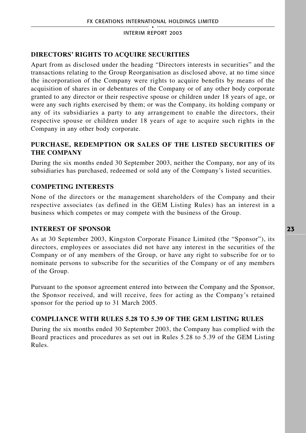## **DIRECTORS' RIGHTS TO ACQUIRE SECURITIES**

Apart from as disclosed under the heading "Directors interests in securities" and the transactions relating to the Group Reorganisation as disclosed above, at no time since the incorporation of the Company were rights to acquire benefits by means of the acquisition of shares in or debentures of the Company or of any other body corporate granted to any director or their respective spouse or children under 18 years of age, or were any such rights exercised by them; or was the Company, its holding company or any of its subsidiaries a party to any arrangement to enable the directors, their respective spouse or children under 18 years of age to acquire such rights in the Company in any other body corporate.

## **PURCHASE, REDEMPTION OR SALES OF THE LISTED SECURITIES OF THE COMPANY**

During the six months ended 30 September 2003, neither the Company, nor any of its subsidiaries has purchased, redeemed or sold any of the Company's listed securities.

## **COMPETING INTERESTS**

None of the directors or the management shareholders of the Company and their respective associates (as defined in the GEM Listing Rules) has an interest in a business which competes or may compete with the business of the Group.

## **INTEREST OF SPONSOR**

As at 30 September 2003, Kingston Corporate Finance Limited (the "Sponsor"), its directors, employees or associates did not have any interest in the securities of the Company or of any members of the Group, or have any right to subscribe for or to nominate persons to subscribe for the securities of the Company or of any members of the Group.

Pursuant to the sponsor agreement entered into between the Company and the Sponsor, the Sponsor received, and will receive, fees for acting as the Company's retained sponsor for the period up to 31 March 2005.

## **COMPLIANCE WITH RULES 5.28 TO 5.39 OF THE GEM LISTING RULES**

During the six months ended 30 September 2003, the Company has complied with the Board practices and procedures as set out in Rules 5.28 to 5.39 of the GEM Listing Rules.